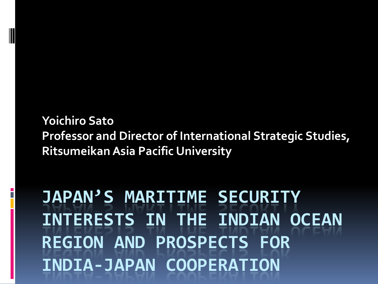#### **Yoichiro Sato Professor and Director of International Strategic Studies, RitsumeikanAsia Pacific University**

**JAPAN'S MARITIME SECURITY INTERESTS IN THE INDIAN OCEAN REGION AND PROSPECTS FOR INDIA-JAPAN COOPERATION**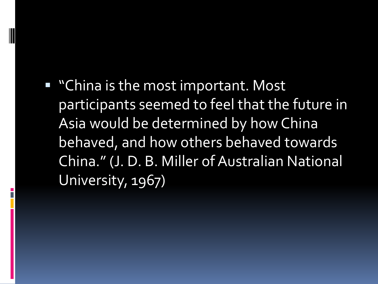■ "China is the most important. Most participants seemed to feel that the future in Asia would be determined by how China behaved, and how others behaved towards China." (J. D. B. Miller of Australian National University, 1967)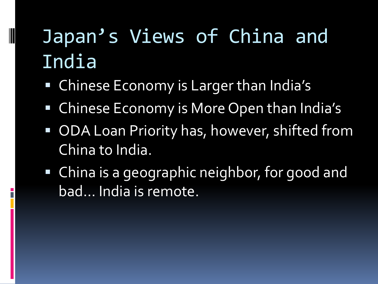# Japan's Views of China and India

Chinese Economy is Larger than India's

- Chinese Economy is More Open than India's
- **ODA Loan Priority has, however, shifted from** China to India.
- China is a geographic neighbor, for good and bad… India is remote.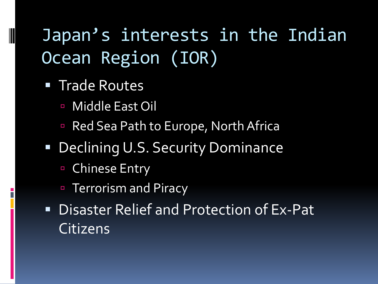## Japan's interests in the Indian Ocean Region (IOR)

**Trade Routes** 

- Middle East Oil
- Red Sea Path to Europe, North Africa
- **Declining U.S. Security Dominance** 
	- Chinese Entry
	- Terrorism and Piracy
- **Disaster Relief and Protection of Ex-Pat** Citizens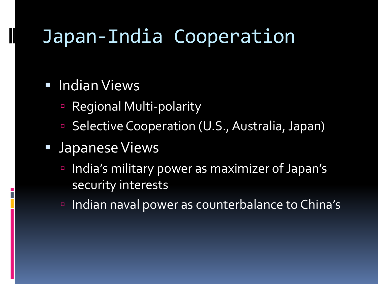# Japan-India Cooperation

#### **Indian Views**

- Regional Multi-polarity
- Selective Cooperation (U.S., Australia, Japan)

#### **Japanese Views**

- India's military power as maximizer of Japan's security interests
- Indian naval power as counterbalance to China's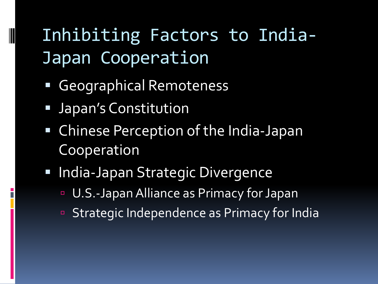### Inhibiting Factors to India-Japan Cooperation

- Geographical Remoteness
- **Japan's Constitution**

- Chinese Perception of the India-Japan Cooperation
- **India-Japan Strategic Divergence** 
	- U.S.-Japan Alliance as Primacy for Japan
	- Strategic Independence as Primacy for India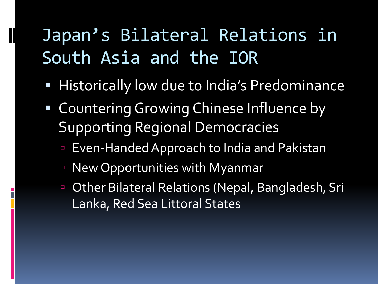### Japan's Bilateral Relations in South Asia and the IOR

- **Historically low due to India's Predominance**
- Countering Growing Chinese Influence by Supporting Regional Democracies
	- Even-Handed Approach to India and Pakistan
	- New Opportunities with Myanmar

 Other Bilateral Relations (Nepal, Bangladesh, Sri Lanka, Red Sea Littoral States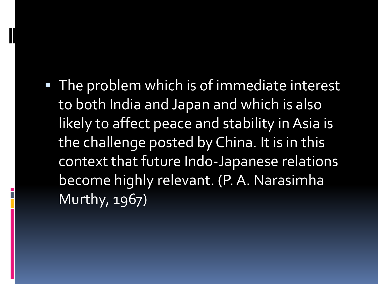**The problem which is of immediate interest** to both India and Japan and which is also likely to affect peace and stability in Asia is the challenge posted by China. It is in this context that future Indo-Japanese relations become highly relevant. (P. A. Narasimha Murthy, 1967)